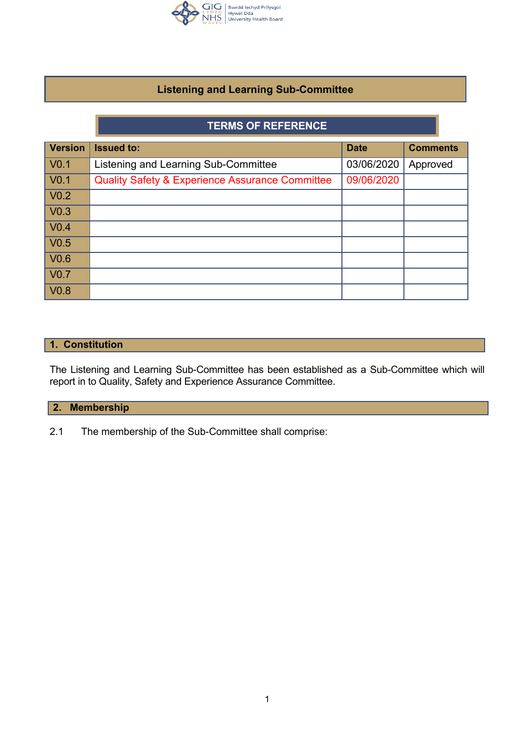

# **Listening and Learning Sub-Committee**

# **TERMS OF REFERENCE**

| <b>Version</b>   | <b>Issued to:</b>                                          | <b>Date</b> | <b>Comments</b> |
|------------------|------------------------------------------------------------|-------------|-----------------|
| V <sub>0.1</sub> | Listening and Learning Sub-Committee                       | 03/06/2020  | Approved        |
| V <sub>0.1</sub> | <b>Quality Safety &amp; Experience Assurance Committee</b> | 09/06/2020  |                 |
| V <sub>0.2</sub> |                                                            |             |                 |
| V <sub>0.3</sub> |                                                            |             |                 |
| V <sub>0.4</sub> |                                                            |             |                 |
| V <sub>0.5</sub> |                                                            |             |                 |
| V <sub>0.6</sub> |                                                            |             |                 |
| V <sub>0.7</sub> |                                                            |             |                 |
| V <sub>0.8</sub> |                                                            |             |                 |

## **1. Constitution**

The Listening and Learning Sub-Committee has been established as a Sub-Committee which will report in to Quality, Safety and Experience Assurance Committee.

# **2. Membership**

2.1 The membership of the Sub-Committee shall comprise: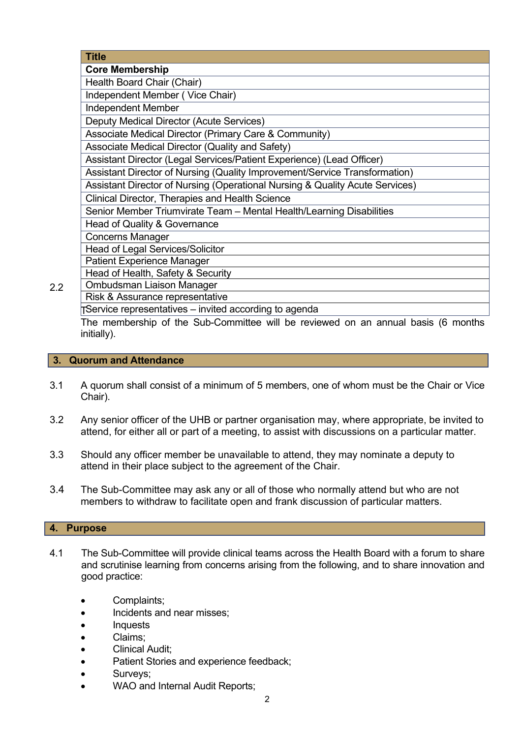| <b>Title</b>                                                                      |  |  |  |
|-----------------------------------------------------------------------------------|--|--|--|
| <b>Core Membership</b>                                                            |  |  |  |
| Health Board Chair (Chair)                                                        |  |  |  |
| Independent Member (Vice Chair)                                                   |  |  |  |
| <b>Independent Member</b>                                                         |  |  |  |
| Deputy Medical Director (Acute Services)                                          |  |  |  |
| Associate Medical Director (Primary Care & Community)                             |  |  |  |
| Associate Medical Director (Quality and Safety)                                   |  |  |  |
| Assistant Director (Legal Services/Patient Experience) (Lead Officer)             |  |  |  |
| Assistant Director of Nursing (Quality Improvement/Service Transformation)        |  |  |  |
| Assistant Director of Nursing (Operational Nursing & Quality Acute Services)      |  |  |  |
| Clinical Director, Therapies and Health Science                                   |  |  |  |
| Senior Member Triumvirate Team - Mental Health/Learning Disabilities              |  |  |  |
| Head of Quality & Governance                                                      |  |  |  |
| <b>Concerns Manager</b>                                                           |  |  |  |
| Head of Legal Services/Solicitor                                                  |  |  |  |
| <b>Patient Experience Manager</b>                                                 |  |  |  |
| Head of Health, Safety & Security                                                 |  |  |  |
| Ombudsman Liaison Manager                                                         |  |  |  |
| Risk & Assurance representative                                                   |  |  |  |
| TService representatives – invited according to agenda                            |  |  |  |
| The membership of the Sub-Committee will be reviewed on an annual basis (6 months |  |  |  |

The membership of the Sub-Committee will be reviewed on an annual basis (6 months initially).

# **3. Quorum and Attendance**

- 3.1 A quorum shall consist of a minimum of 5 members, one of whom must be the Chair or Vice Chair).
- 3.2 Any senior officer of the UHB or partner organisation may, where appropriate, be invited to attend, for either all or part of a meeting, to assist with discussions on a particular matter.
- 3.3 Should any officer member be unavailable to attend, they may nominate a deputy to attend in their place subject to the agreement of the Chair.
- 3.4 The Sub-Committee may ask any or all of those who normally attend but who are not members to withdraw to facilitate open and frank discussion of particular matters.

#### **4. Purpose**

2.2

- 4.1 The Sub-Committee will provide clinical teams across the Health Board with a forum to share and scrutinise learning from concerns arising from the following, and to share innovation and good practice:
	- Complaints;
	- Incidents and near misses;
	- Inquests
	- Claims;
	- Clinical Audit;
	- Patient Stories and experience feedback;
	- Surveys;
	- WAO and Internal Audit Reports: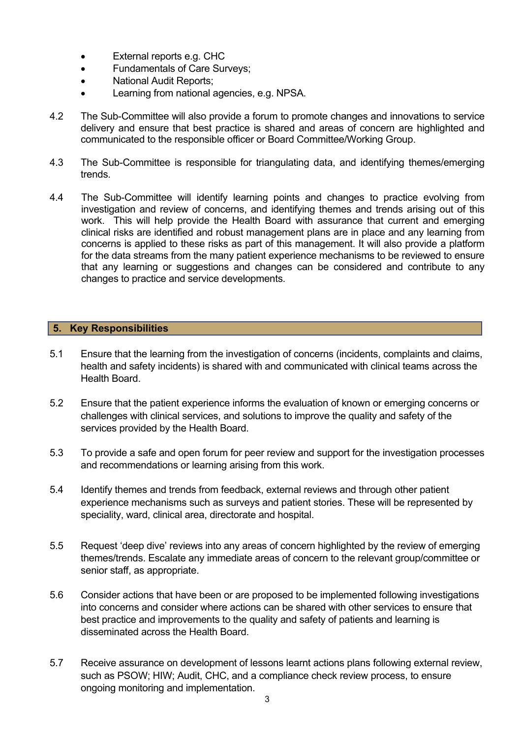- External reports e.g. CHC
- Fundamentals of Care Surveys;
- National Audit Reports;
- Learning from national agencies, e.g. NPSA.
- 4.2 The Sub-Committee will also provide a forum to promote changes and innovations to service delivery and ensure that best practice is shared and areas of concern are highlighted and communicated to the responsible officer or Board Committee/Working Group.
- 4.3 The Sub-Committee is responsible for triangulating data, and identifying themes/emerging trends.
- 4.4 The Sub-Committee will identify learning points and changes to practice evolving from investigation and review of concerns, and identifying themes and trends arising out of this work. This will help provide the Health Board with assurance that current and emerging clinical risks are identified and robust management plans are in place and any learning from concerns is applied to these risks as part of this management. It will also provide a platform for the data streams from the many patient experience mechanisms to be reviewed to ensure that any learning or suggestions and changes can be considered and contribute to any changes to practice and service developments.

## **5. Key Responsibilities**

- 5.1 Ensure that the learning from the investigation of concerns (incidents, complaints and claims, health and safety incidents) is shared with and communicated with clinical teams across the Health Board.
- 5.2 Ensure that the patient experience informs the evaluation of known or emerging concerns or challenges with clinical services, and solutions to improve the quality and safety of the services provided by the Health Board.
- 5.3 To provide a safe and open forum for peer review and support for the investigation processes and recommendations or learning arising from this work.
- 5.4 Identify themes and trends from feedback, external reviews and through other patient experience mechanisms such as surveys and patient stories. These will be represented by speciality, ward, clinical area, directorate and hospital.
- 5.5 Request 'deep dive' reviews into any areas of concern highlighted by the review of emerging themes/trends. Escalate any immediate areas of concern to the relevant group/committee or senior staff, as appropriate.
- 5.6 Consider actions that have been or are proposed to be implemented following investigations into concerns and consider where actions can be shared with other services to ensure that best practice and improvements to the quality and safety of patients and learning is disseminated across the Health Board.
- 5.7 Receive assurance on development of lessons learnt actions plans following external review, such as PSOW; HIW; Audit, CHC, and a compliance check review process, to ensure ongoing monitoring and implementation.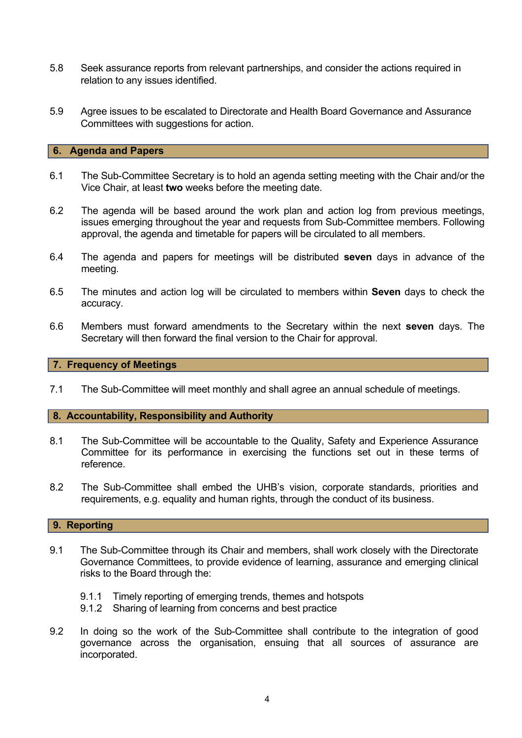- 5.8 Seek assurance reports from relevant partnerships, and consider the actions required in relation to any issues identified.
- 5.9 Agree issues to be escalated to Directorate and Health Board Governance and Assurance Committees with suggestions for action.

### **6. Agenda and Papers**

- 6.1 The Sub-Committee Secretary is to hold an agenda setting meeting with the Chair and/or the Vice Chair, at least **two** weeks before the meeting date.
- 6.2 The agenda will be based around the work plan and action log from previous meetings, issues emerging throughout the year and requests from Sub-Committee members. Following approval, the agenda and timetable for papers will be circulated to all members.
- 6.4 The agenda and papers for meetings will be distributed **seven** days in advance of the meeting.
- 6.5 The minutes and action log will be circulated to members within **Seven** days to check the accuracy.
- 6.6 Members must forward amendments to the Secretary within the next **seven** days. The Secretary will then forward the final version to the Chair for approval.

#### **7. Frequency of Meetings**

7.1 The Sub-Committee will meet monthly and shall agree an annual schedule of meetings.

#### **8. Accountability, Responsibility and Authority**

- 8.1 The Sub-Committee will be accountable to the Quality, Safety and Experience Assurance Committee for its performance in exercising the functions set out in these terms of reference.
- 8.2 The Sub-Committee shall embed the UHB's vision, corporate standards, priorities and requirements, e.g. equality and human rights, through the conduct of its business.

#### **9. Reporting**

- 9.1 The Sub-Committee through its Chair and members, shall work closely with the Directorate Governance Committees, to provide evidence of learning, assurance and emerging clinical risks to the Board through the:
	- 9.1.1 Timely reporting of emerging trends, themes and hotspots
	- 9.1.2 Sharing of learning from concerns and best practice
- 9.2 In doing so the work of the Sub-Committee shall contribute to the integration of good governance across the organisation, ensuing that all sources of assurance are incorporated.